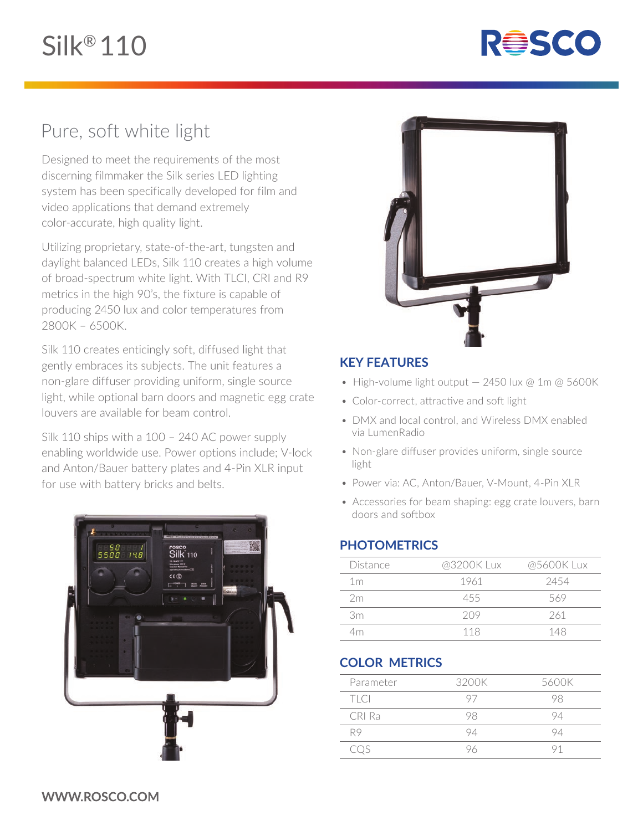

# Pure, soft white light

Designed to meet the requirements of the most discerning filmmaker the Silk series LED lighting system has been specifically developed for film and video applications that demand extremely color-accurate, high quality light.

Utilizing proprietary, state-of-the-art, tungsten and daylight balanced LEDs, Silk 110 creates a high volume of broad-spectrum white light. With TLCI, CRI and R9 metrics in the high 90's, the fixture is capable of producing 2450 lux and color temperatures from 2800K – 6500K.

Silk 110 creates enticingly soft, diffused light that gently embraces its subjects. The unit features a non-glare diffuser providing uniform, single source light, while optional barn doors and magnetic egg crate louvers are available for beam control.

Silk 110 ships with a 100 – 240 AC power supply enabling worldwide use. Power options include; V-lock and Anton/Bauer battery plates and 4-Pin XLR input for use with battery bricks and belts.





### **KEY FEATURES**

- High-volume light output 2450 lux @ 1m @ 5600K
- Color-correct, attractive and soft light
- DMX and local control, and Wireless DMX enabled via LumenRadio
- Non-glare diffuser provides uniform, single source light
- Power via: AC, Anton/Bauer, V-Mount, 4-Pin XLR
- Accessories for beam shaping: egg crate louvers, barn doors and softbox

#### **PHOTOMETRICS**

| Distance       | @3200K Lux | @5600K Lux |
|----------------|------------|------------|
| 1 <sub>m</sub> | 1961       | 2454       |
| 2m             | 455        | 569        |
| 3m             | 209        | 261        |
| 4m.            | 118        | 148        |

## **COLOR METRICS**

| Parameter   | 3200K | 5600K |
|-------------|-------|-------|
| <b>TLCI</b> | 97    | YХ    |
| CRI Ra      | 98    | 94    |
| R9          | 94    | 94    |
| COS         | чh    |       |